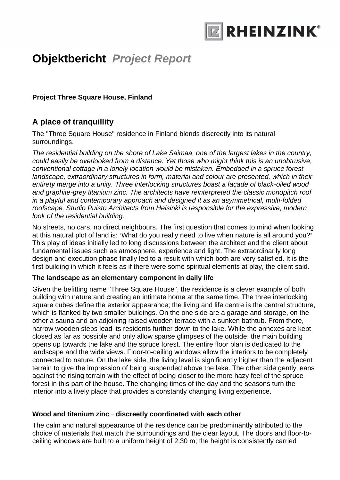

**Project Three Square House, Finland**

### **A place of tranquillity**

The "Three Square House" residence in Finland blends discreetly into its natural surroundings.

*The residential building on the shore of Lake Saimaa, one of the largest lakes in the country, could easily be overlooked from a distance. Yet those who might think this is an unobtrusive, conventional cottage in a lonely location would be mistaken. Embedded in a spruce forest*  landscape, extraordinary structures in form, material and colour are presented, which in their *entirety merge into a unity. Three interlocking structures boast a façade of black-oiled wood and graphite-grey titanium zinc. The architects have reinterpreted the classic monopitch roof in a playful and contemporary approach and designed it as an asymmetrical, multi-folded roofscape. Studio Puisto Architects from Helsinki is responsible for the expressive, modern look of the residential building.* 

No streets, no cars, no direct neighbours. The first question that comes to mind when looking at this natural plot of land is: "What do you really need to live when nature is all around you?" This play of ideas initially led to long discussions between the architect and the client about fundamental issues such as atmosphere, experience and light. The extraordinarily long design and execution phase finally led to a result with which both are very satisfied. It is the first building in which it feels as if there were some spiritual elements at play, the client said.

#### **The landscape as an elementary component in daily life**

Given the befitting name "Three Square House", the residence is a clever example of both building with nature and creating an intimate home at the same time. The three interlocking square cubes define the exterior appearance; the living and life centre is the central structure, which is flanked by two smaller buildings. On the one side are a garage and storage, on the other a sauna and an adjoining raised wooden terrace with a sunken bathtub. From there, narrow wooden steps lead its residents further down to the lake. While the annexes are kept closed as far as possible and only allow sparse glimpses of the outside, the main building opens up towards the lake and the spruce forest. The entire floor plan is dedicated to the landscape and the wide views. Floor-to-ceiling windows allow the interiors to be completely connected to nature. On the lake side, the living level is significantly higher than the adjacent terrain to give the impression of being suspended above the lake. The other side gently leans against the rising terrain with the effect of being closer to the more hazy feel of the spruce forest in this part of the house. The changing times of the day and the seasons turn the interior into a lively place that provides a constantly changing living experience.

### **Wood and titanium zinc** – **discreetly coordinated with each other**

The calm and natural appearance of the residence can be predominantly attributed to the choice of materials that match the surroundings and the clear layout. The doors and floor-toceiling windows are built to a uniform height of 2.30 m; the height is consistently carried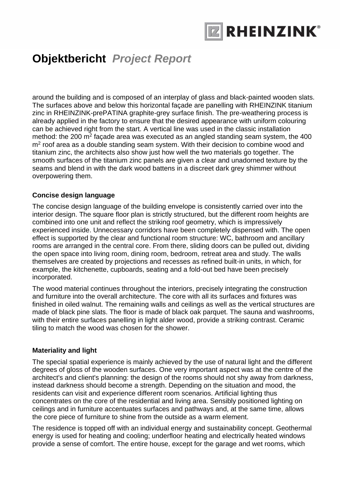

around the building and is composed of an interplay of glass and black-painted wooden slats. The surfaces above and below this horizontal façade are panelling with RHEINZINK titanium zinc in RHEINZINK-prePATINA graphite-grey surface finish. The pre-weathering process is already applied in the factory to ensure that the desired appearance with uniform colouring can be achieved right from the start. A vertical line was used in the classic installation method: the 200  $m^2$  façade area was executed as an angled standing seam system, the 400  $m<sup>2</sup>$  roof area as a double standing seam system. With their decision to combine wood and titanium zinc, the architects also show just how well the two materials go together. The smooth surfaces of the titanium zinc panels are given a clear and unadorned texture by the seams and blend in with the dark wood battens in a discreet dark grey shimmer without overpowering them.

#### **Concise design language**

The concise design language of the building envelope is consistently carried over into the interior design. The square floor plan is strictly structured, but the different room heights are combined into one unit and reflect the striking roof geometry, which is impressively experienced inside. Unnecessary corridors have been completely dispensed with. The open effect is supported by the clear and functional room structure: WC, bathroom and ancillary rooms are arranged in the central core. From there, sliding doors can be pulled out, dividing the open space into living room, dining room, bedroom, retreat area and study. The walls themselves are created by projections and recesses as refined built-in units, in which, for example, the kitchenette, cupboards, seating and a fold-out bed have been precisely incorporated.

The wood material continues throughout the interiors, precisely integrating the construction and furniture into the overall architecture. The core with all its surfaces and fixtures was finished in oiled walnut. The remaining walls and ceilings as well as the vertical structures are made of black pine slats. The floor is made of black oak parquet. The sauna and washrooms, with their entire surfaces panelling in light alder wood, provide a striking contrast. Ceramic tiling to match the wood was chosen for the shower.

#### **Materiality and light**

The special spatial experience is mainly achieved by the use of natural light and the different degrees of gloss of the wooden surfaces. One very important aspect was at the centre of the architect's and client's planning: the design of the rooms should not shy away from darkness, instead darkness should become a strength. Depending on the situation and mood, the residents can visit and experience different room scenarios. Artificial lighting thus concentrates on the core of the residential and living area. Sensibly positioned lighting on ceilings and in furniture accentuates surfaces and pathways and, at the same time, allows the core piece of furniture to shine from the outside as a warm element.

The residence is topped off with an individual energy and sustainability concept. Geothermal energy is used for heating and cooling; underfloor heating and electrically heated windows provide a sense of comfort. The entire house, except for the garage and wet rooms, which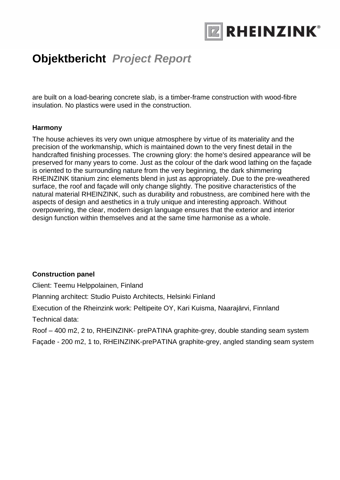

are built on a load-bearing concrete slab, is a timber-frame construction with wood-fibre insulation. No plastics were used in the construction.

#### **Harmony**

The house achieves its very own unique atmosphere by virtue of its materiality and the precision of the workmanship, which is maintained down to the very finest detail in the handcrafted finishing processes. The crowning glory: the home's desired appearance will be preserved for many years to come. Just as the colour of the dark wood lathing on the façade is oriented to the surrounding nature from the very beginning, the dark shimmering RHEINZINK titanium zinc elements blend in just as appropriately. Due to the pre-weathered surface, the roof and façade will only change slightly. The positive characteristics of the natural material RHEINZINK, such as durability and robustness, are combined here with the aspects of design and aesthetics in a truly unique and interesting approach. Without overpowering, the clear, modern design language ensures that the exterior and interior design function within themselves and at the same time harmonise as a whole.

#### **Construction panel**

Client: Teemu Helppolainen, Finland

Planning architect: Studio Puisto Architects, Helsinki Finland

Execution of the Rheinzink work: Peltipeite OY, Kari Kuisma, Naarajärvi, Finnland

Technical data:

Roof – 400 m2, 2 to, RHEINZINK- prePATINA graphite-grey, double standing seam system Façade - 200 m2, 1 to, RHEINZINK-prePATINA graphite-grey, angled standing seam system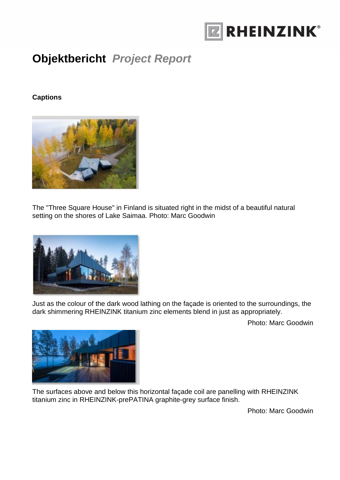

### **Captions**



The "Three Square House" in Finland is situated right in the midst of a beautiful natural setting on the shores of Lake Saimaa. Photo: Marc Goodwin



Just as the colour of the dark wood lathing on the façade is oriented to the surroundings, the dark shimmering RHEINZINK titanium zinc elements blend in just as appropriately.

Photo: Marc Goodwin



The surfaces above and below this horizontal façade coil are panelling with RHEINZINK titanium zinc in RHEINZINK-prePATINA graphite-grey surface finish.

Photo: Marc Goodwin